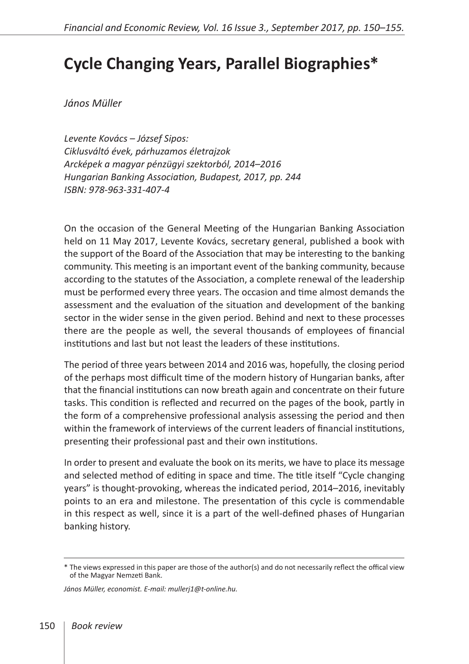## **Cycle Changing Years, Parallel Biographies\***

*János Müller*

*Levente Kovács – József Sipos: Ciklusváltó évek, párhuzamos életrajzok Arcképek a magyar pénzügyi szektorból, 2014–2016 Hungarian Banking Association, Budapest, 2017, pp. 244 ISBN: 978-963-331-407-4* 

On the occasion of the General Meeting of the Hungarian Banking Association held on 11 May 2017, Levente Kovács, secretary general, published a book with the support of the Board of the Association that may be interesting to the banking community. This meeting is an important event of the banking community, because according to the statutes of the Association, a complete renewal of the leadership must be performed every three years. The occasion and time almost demands the assessment and the evaluation of the situation and development of the banking sector in the wider sense in the given period. Behind and next to these processes there are the people as well, the several thousands of employees of financial institutions and last but not least the leaders of these institutions.

The period of three years between 2014 and 2016 was, hopefully, the closing period of the perhaps most difficult time of the modern history of Hungarian banks, after that the financial institutions can now breath again and concentrate on their future tasks. This condition is reflected and recurred on the pages of the book, partly in the form of a comprehensive professional analysis assessing the period and then within the framework of interviews of the current leaders of financial institutions, presenting their professional past and their own institutions.

In order to present and evaluate the book on its merits, we have to place its message and selected method of editing in space and time. The title itself "Cycle changing years" is thought-provoking, whereas the indicated period, 2014–2016, inevitably points to an era and milestone. The presentation of this cycle is commendable in this respect as well, since it is a part of the well-defined phases of Hungarian banking history.

<sup>\*</sup> The views expressed in this paper are those of the author(s) and do not necessarily reflect the offical view of the Magyar Nemzeti Bank.

*János Müller, economist. E-mail: mullerj1@t-online.hu.*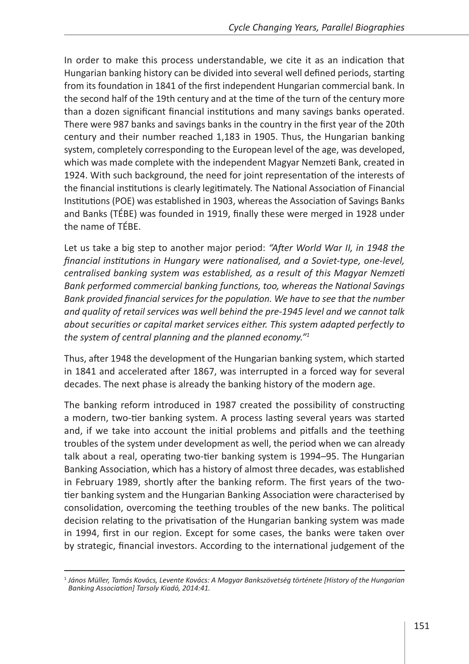In order to make this process understandable, we cite it as an indication that Hungarian banking history can be divided into several well defined periods, starting from its foundation in 1841 of the first independent Hungarian commercial bank. In the second half of the 19th century and at the time of the turn of the century more than a dozen significant financial institutions and many savings banks operated. There were 987 banks and savings banks in the country in the first year of the 20th century and their number reached 1,183 in 1905. Thus, the Hungarian banking system, completely corresponding to the European level of the age, was developed, which was made complete with the independent Magyar Nemzeti Bank, created in 1924. With such background, the need for joint representation of the interests of the financial institutions is clearly legitimately. The National Association of Financial Institutions (POE) was established in 1903, whereas the Association of Savings Banks and Banks (TÉBE) was founded in 1919, finally these were merged in 1928 under the name of TÉBE.

Let us take a big step to another major period: *"After World War II, in 1948 the financial institutions in Hungary were nationalised, and a Soviet-type, one-level, centralised banking system was established, as a result of this Magyar Nemzeti Bank performed commercial banking functions, too, whereas the National Savings Bank provided financial services for the population. We have to see that the number and quality of retail services was well behind the pre-1945 level and we cannot talk about securities or capital market services either. This system adapted perfectly to the system of central planning and the planned economy."<sup>1</sup>*

Thus, after 1948 the development of the Hungarian banking system, which started in 1841 and accelerated after 1867, was interrupted in a forced way for several decades. The next phase is already the banking history of the modern age.

The banking reform introduced in 1987 created the possibility of constructing a modern, two-tier banking system. A process lasting several years was started and, if we take into account the initial problems and pitfalls and the teething troubles of the system under development as well, the period when we can already talk about a real, operating two-tier banking system is 1994–95. The Hungarian Banking Association, which has a history of almost three decades, was established in February 1989, shortly after the banking reform. The first years of the twotier banking system and the Hungarian Banking Association were characterised by consolidation, overcoming the teething troubles of the new banks. The political decision relating to the privatisation of the Hungarian banking system was made in 1994, first in our region. Except for some cases, the banks were taken over by strategic, financial investors. According to the international judgement of the

<sup>1</sup> *János Müller, Tamás Kovács, Levente Kovács: A Magyar Bankszövetség története [History of the Hungarian Banking Association] Tarsoly Kiadó, 2014:41.*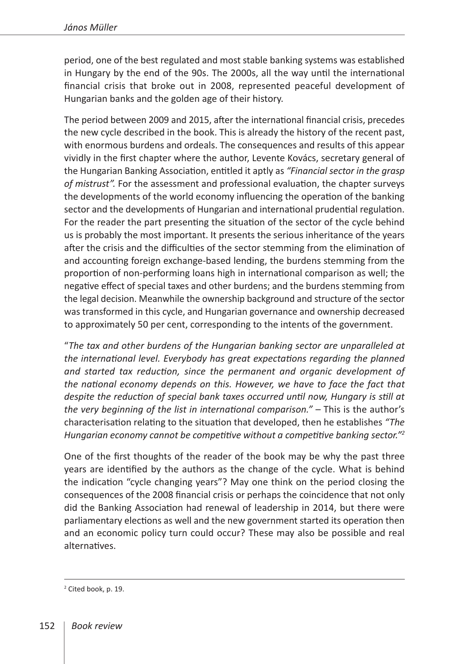period, one of the best regulated and most stable banking systems was established in Hungary by the end of the 90s. The 2000s, all the way until the international financial crisis that broke out in 2008, represented peaceful development of Hungarian banks and the golden age of their history.

The period between 2009 and 2015, after the international financial crisis, precedes the new cycle described in the book. This is already the history of the recent past, with enormous burdens and ordeals. The consequences and results of this appear vividly in the first chapter where the author, Levente Kovács, secretary general of the Hungarian Banking Association, entitled it aptly as *"Financial sector in the grasp of mistrust".* For the assessment and professional evaluation, the chapter surveys the developments of the world economy influencing the operation of the banking sector and the developments of Hungarian and international prudential regulation. For the reader the part presenting the situation of the sector of the cycle behind us is probably the most important. It presents the serious inheritance of the years after the crisis and the difficulties of the sector stemming from the elimination of and accounting foreign exchange-based lending, the burdens stemming from the proportion of non-performing loans high in international comparison as well; the negative effect of special taxes and other burdens; and the burdens stemming from the legal decision. Meanwhile the ownership background and structure of the sector was transformed in this cycle, and Hungarian governance and ownership decreased to approximately 50 per cent, corresponding to the intents of the government.

"*The tax and other burdens of the Hungarian banking sector are unparalleled at the international level. Everybody has great expectations regarding the planned and started tax reduction, since the permanent and organic development of the national economy depends on this. However, we have to face the fact that despite the reduction of special bank taxes occurred until now, Hungary is still at the very beginning of the list in international comparison." –* This is the author's characterisation relating to the situation that developed, then he establishes *"The Hungarian economy cannot be competitive without a competitive banking sector."<sup>2</sup>*

One of the first thoughts of the reader of the book may be why the past three years are identified by the authors as the change of the cycle. What is behind the indication "cycle changing years"? May one think on the period closing the consequences of the 2008 financial crisis or perhaps the coincidence that not only did the Banking Association had renewal of leadership in 2014, but there were parliamentary elections as well and the new government started its operation then and an economic policy turn could occur? These may also be possible and real alternatives.

<sup>2</sup> Cited book, p. 19.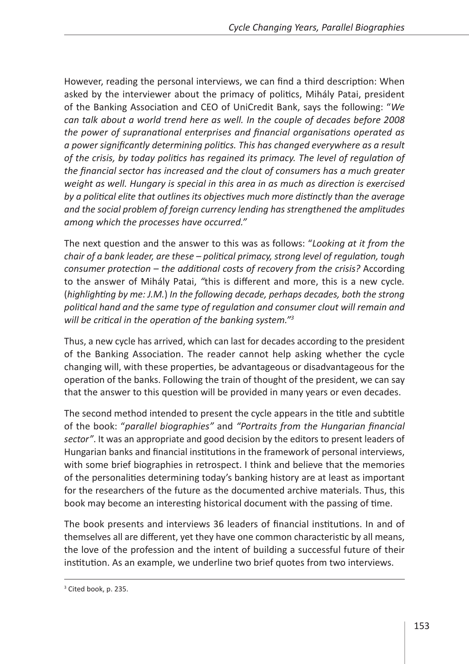However, reading the personal interviews, we can find a third description: When asked by the interviewer about the primacy of politics, Mihály Patai, president of the Banking Association and CEO of UniCredit Bank, says the following: "*We can talk about a world trend here as well. In the couple of decades before 2008 the power of supranational enterprises and financial organisations operated as a power significantly determining politics. This has changed everywhere as a result of the crisis, by today politics has regained its primacy. The level of regulation of the financial sector has increased and the clout of consumers has a much greater weight as well. Hungary is special in this area in as much as direction is exercised by a political elite that outlines its objectives much more distinctly than the average and the social problem of foreign currency lending has strengthened the amplitudes among which the processes have occurred."*

The next question and the answer to this was as follows: "*Looking at it from the chair of a bank leader, are these – political primacy, strong level of regulation, tough consumer protection – the additional costs of recovery from the crisis?* According to the answer of Mihály Patai, *"*this is different and more, this is a new cycle*.*  (*highlighting by me: J.M.*) *In the following decade, perhaps decades, both the strong political hand and the same type of regulation and consumer clout will remain and will be critical in the operation of the banking system."<sup>3</sup>*

Thus, a new cycle has arrived, which can last for decades according to the president of the Banking Association. The reader cannot help asking whether the cycle changing will, with these properties, be advantageous or disadvantageous for the operation of the banks. Following the train of thought of the president, we can say that the answer to this question will be provided in many years or even decades.

The second method intended to present the cycle appears in the title and subtitle of the book: "*parallel biographies"* and *"Portraits from the Hungarian financial sector"*. It was an appropriate and good decision by the editors to present leaders of Hungarian banks and financial institutions in the framework of personal interviews, with some brief biographies in retrospect. I think and believe that the memories of the personalities determining today's banking history are at least as important for the researchers of the future as the documented archive materials. Thus, this book may become an interesting historical document with the passing of time.

The book presents and interviews 36 leaders of financial institutions. In and of themselves all are different, yet they have one common characteristic by all means, the love of the profession and the intent of building a successful future of their institution. As an example, we underline two brief quotes from two interviews.

<sup>&</sup>lt;sup>3</sup> Cited book, p. 235.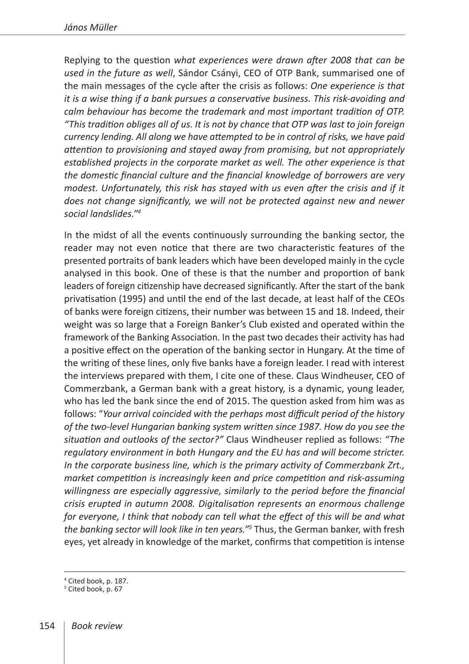Replying to the question *what experiences were drawn after 2008 that can be used in the future as well*, Sándor Csányi, CEO of OTP Bank, summarised one of the main messages of the cycle after the crisis as follows: *One experience is that it is a wise thing if a bank pursues a conservative business. This risk-avoiding and calm behaviour has become the trademark and most important tradition of OTP. "This tradition obliges all of us. It is not by chance that OTP was last to join foreign currency lending. All along we have attempted to be in control of risks, we have paid attention to provisioning and stayed away from promising, but not appropriately established projects in the corporate market as well. The other experience is that the domestic financial culture and the financial knowledge of borrowers are very modest. Unfortunately, this risk has stayed with us even after the crisis and if it does not change significantly, we will not be protected against new and newer social landslides."4*

In the midst of all the events continuously surrounding the banking sector, the reader may not even notice that there are two characteristic features of the presented portraits of bank leaders which have been developed mainly in the cycle analysed in this book. One of these is that the number and proportion of bank leaders of foreign citizenship have decreased significantly. After the start of the bank privatisation (1995) and until the end of the last decade, at least half of the CEOs of banks were foreign citizens, their number was between 15 and 18. Indeed, their weight was so large that a Foreign Banker's Club existed and operated within the framework of the Banking Association. In the past two decades their activity has had a positive effect on the operation of the banking sector in Hungary. At the time of the writing of these lines, only five banks have a foreign leader. I read with interest the interviews prepared with them, I cite one of these. Claus Windheuser, CEO of Commerzbank, a German bank with a great history, is a dynamic, young leader, who has led the bank since the end of 2015. The question asked from him was as follows: "*Your arrival coincided with the perhaps most difficult period of the history of the two-level Hungarian banking system written since 1987. How do you see the situation and outlooks of the sector?"* Claus Windheuser replied as follows: *"The regulatory environment in both Hungary and the EU has and will become stricter. In the corporate business line, which is the primary activity of Commerzbank Zrt., market competition is increasingly keen and price competition and risk-assuming willingness are especially aggressive, similarly to the period before the financial crisis erupted in autumn 2008. Digitalisation represents an enormous challenge for everyone, I think that nobody can tell what the effect of this will be and what the banking sector will look like in ten years."<sup>5</sup>* Thus, the German banker, with fresh eyes, yet already in knowledge of the market, confirms that competition is intense

<sup>4</sup> Cited book, p. 187.

<sup>&</sup>lt;sup>5</sup> Cited book, p. 67